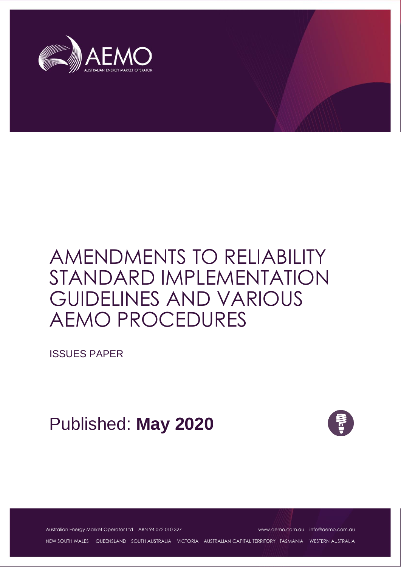

ISSUES PAPER

Published: **May 2020**



Australian Energy Market Operator Ltd ABN 94 072 010 327 [www.aemo.com.au](http://www.aemo.com.au/) [info@aemo.com.au](mailto:info@aemo.com.au)

NEW SOUTH WALES QUEENSLAND SOUTH AUSTRALIA VICTORIA AUSTRALIAN CAPITAL TERRITORY TASMANIA WESTERN AUSTRALIA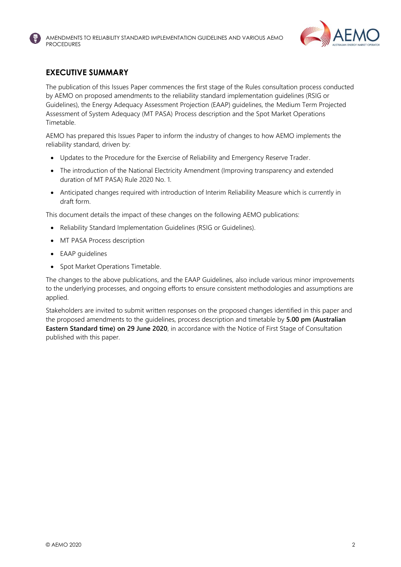

#### <span id="page-1-0"></span>**EXECUTIVE SUMMARY**

The publication of this Issues Paper commences the first stage of the Rules consultation process conducted by AEMO on proposed amendments to the reliability standard implementation guidelines (RSIG or Guidelines), the Energy Adequacy Assessment Projection (EAAP) guidelines, the Medium Term Projected Assessment of System Adequacy (MT PASA) Process description and the Spot Market Operations Timetable.

AEMO has prepared this Issues Paper to inform the industry of changes to how AEMO implements the reliability standard, driven by:

- Updates to the Procedure for the Exercise of Reliability and Emergency Reserve Trader.
- The introduction of the National Electricity Amendment (Improving transparency and extended duration of MT PASA) Rule 2020 No. 1.
- Anticipated changes required with introduction of Interim Reliability Measure which is currently in draft form.

This document details the impact of these changes on the following AEMO publications:

- Reliability Standard Implementation Guidelines (RSIG or Guidelines).
- MT PASA Process description
- EAAP guidelines
- Spot Market Operations Timetable.

The changes to the above publications, and the EAAP Guidelines, also include various minor improvements to the underlying processes, and ongoing efforts to ensure consistent methodologies and assumptions are applied.

Stakeholders are invited to submit written responses on the proposed changes identified in this paper and the proposed amendments to the guidelines, process description and timetable by **5.00 pm (Australian Eastern Standard time) on 29 June 2020**, in accordance with the Notice of First Stage of Consultation published with this paper.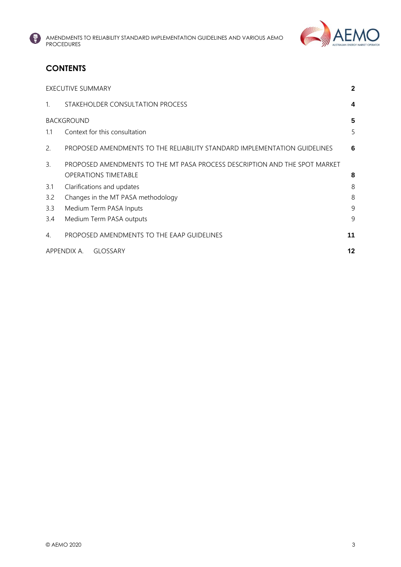



# **CONTENTS**

| <b>EXECUTIVE SUMMARY</b>             |                                                                            |    |  |  |
|--------------------------------------|----------------------------------------------------------------------------|----|--|--|
| $\mathbf{1}$                         | STAKEHOLDER CONSULTATION PROCESS                                           | 4  |  |  |
| <b>BACKGROUND</b><br>5               |                                                                            |    |  |  |
| 1.1                                  | Context for this consultation                                              | 5  |  |  |
| 2.                                   | PROPOSED AMENDMENTS TO THE RELIABILITY STANDARD IMPLEMENTATION GUIDELINES  | 6  |  |  |
| 3.                                   | PROPOSED AMENDMENTS TO THE MT PASA PROCESS DESCRIPTION AND THE SPOT MARKET |    |  |  |
|                                      | <b>OPERATIONS TIMETABLE</b>                                                | 8  |  |  |
| 3.1                                  | Clarifications and updates                                                 | 8  |  |  |
| 3.2                                  | 8<br>Changes in the MT PASA methodology                                    |    |  |  |
| 3.3                                  | 9<br>Medium Term PASA Inputs                                               |    |  |  |
| 3.4                                  | Medium Term PASA outputs                                                   | 9  |  |  |
| 4.                                   | PROPOSED AMENDMENTS TO THE EAAP GUIDELINES                                 | 11 |  |  |
| APPENDIX A.<br>12<br><b>GLOSSARY</b> |                                                                            |    |  |  |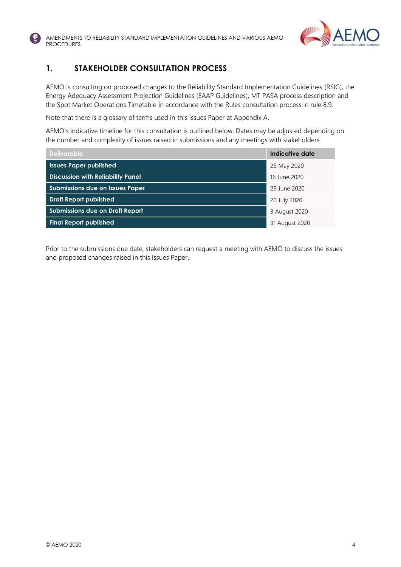



#### <span id="page-3-0"></span>**1. STAKEHOLDER CONSULTATION PROCESS**

AEMO is consulting on proposed changes to the Reliability Standard Implementation Guidelines (RSIG), the Energy Adequacy Assessment Projection Guidelines (EAAP Guidelines), MT PASA process description and the Spot Market Operations Timetable in accordance with the Rules consultation process in rule 8.9.

Note that there is a glossary of terms used in this Issues Paper at Appendix A.

AEMO's indicative timeline for this consultation is outlined below. Dates may be adjusted depending on the number and complexity of issues raised in submissions and any meetings with stakeholders.

| <b>Deliverable</b>                       | Indicative date |
|------------------------------------------|-----------------|
| <b>Issues Paper published</b>            | 25 May 2020     |
| <b>Discussion with Reliability Panel</b> | 16 June 2020    |
| <b>Submissions due on Issues Paper</b>   | 29 June 2020    |
| <b>Draft Report published</b>            | 20 July 2020    |
| <b>Submissions due on Draft Report</b>   | 3 August 2020   |
| <b>Final Report published</b>            | 31 August 2020  |

Prior to the submissions due date, stakeholders can request a meeting with AEMO to discuss the issues and proposed changes raised in this Issues Paper.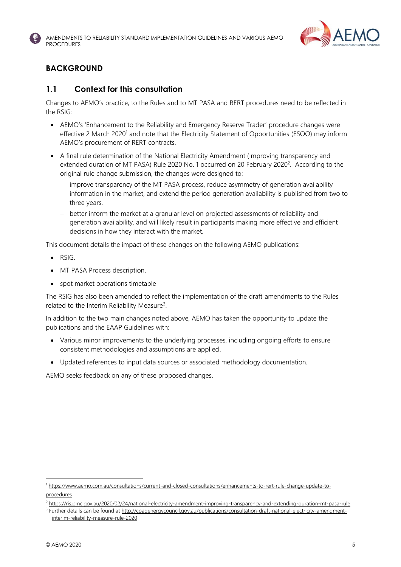



# <span id="page-4-0"></span>**BACKGROUND**

#### <span id="page-4-1"></span>**1.1 Context for this consultation**

Changes to AEMO's practice, to the Rules and to MT PASA and RERT procedures need to be reflected in the RSIG:

- AEMO's 'Enhancement to the Reliability and Emergency Reserve Trader' procedure changes were effective 2 March 2020<sup>1</sup> and note that the Electricity Statement of Opportunities (ESOO) may inform AEMO's procurement of RERT contracts.
- A final rule determination of the National Electricity Amendment (Improving transparency and extended duration of MT PASA) Rule 2020 No. 1 occurred on 20 February 2020<sup>2</sup>. According to the original rule change submission, the changes were designed to:
	- − improve transparency of the MT PASA process, reduce asymmetry of generation availability information in the market, and extend the period generation availability is published from two to three years.
	- − better inform the market at a granular level on projected assessments of reliability and generation availability, and will likely result in participants making more effective and efficient decisions in how they interact with the market.

This document details the impact of these changes on the following AEMO publications:

- RSIG.
- MT PASA Process description.
- spot market operations timetable

The RSIG has also been amended to reflect the implementation of the draft amendments to the Rules related to the Interim Reliability Measure<sup>3</sup>.

In addition to the two main changes noted above, AEMO has taken the opportunity to update the publications and the EAAP Guidelines with:

- Various minor improvements to the underlying processes, including ongoing efforts to ensure consistent methodologies and assumptions are applied.
- Updated references to input data sources or associated methodology documentation.

AEMO seeks feedback on any of these proposed changes.

<sup>1</sup> [https://www.aemo.com.au/consultations/current-and-closed-consultations/enhancements-to-rert-rule-change-update-to](https://www.aemo.com.au/consultations/current-and-closed-consultations/enhancements-to-rert-rule-change-update-to-procedures)[procedures](https://www.aemo.com.au/consultations/current-and-closed-consultations/enhancements-to-rert-rule-change-update-to-procedures)

<sup>&</sup>lt;sup>2</sup> <https://ris.pmc.gov.au/2020/02/24/national-electricity-amendment-improving-transparency-and-extending-duration-mt-pasa-rule>

<sup>&</sup>lt;sup>3</sup> Further details can be found a[t http://coagenergycouncil.gov.au/publications/consultation-draft-national-electricity-amendment](http://coagenergycouncil.gov.au/publications/consultation-draft-national-electricity-amendment-interim-reliability-measure-rule-2020)[interim-reliability-measure-rule-2020](http://coagenergycouncil.gov.au/publications/consultation-draft-national-electricity-amendment-interim-reliability-measure-rule-2020)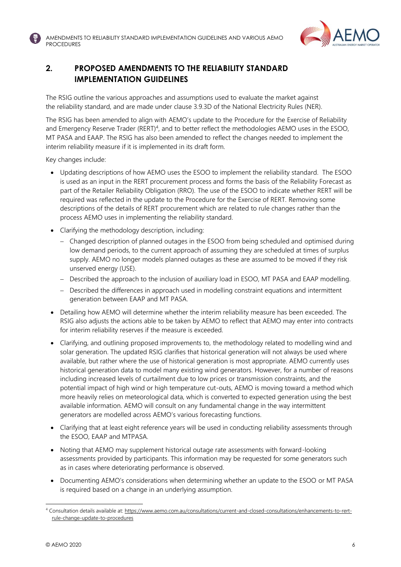

# <span id="page-5-0"></span>**2. PROPOSED AMENDMENTS TO THE RELIABILITY STANDARD IMPLEMENTATION GUIDELINES**

The RSIG outline the various approaches and assumptions used to evaluate the market against the reliability standard, and are made under clause 3.9.3D of the National Electricity Rules (NER).

The RSIG has been amended to align with AEMO's update to the Procedure for the Exercise of Reliability and Emergency Reserve Trader (RERT)<sup>4</sup>, and to better reflect the methodologies AEMO uses in the ESOO, MT PASA and EAAP. The RSIG has also been amended to reflect the changes needed to implement the interim reliability measure if it is implemented in its draft form.

Key changes include:

- Updating descriptions of how AEMO uses the ESOO to implement the reliability standard. The ESOO is used as an input in the RERT procurement process and forms the basis of the Reliability Forecast as part of the Retailer Reliability Obligation (RRO). The use of the ESOO to indicate whether RERT will be required was reflected in the update to the Procedure for the Exercise of RERT. Removing some descriptions of the details of RERT procurement which are related to rule changes rather than the process AEMO uses in implementing the reliability standard.
- Clarifying the methodology description, including:
	- − Changed description of planned outages in the ESOO from being scheduled and optimised during low demand periods, to the current approach of assuming they are scheduled at times of surplus supply. AEMO no longer models planned outages as these are assumed to be moved if they risk unserved energy (USE).
	- − Described the approach to the inclusion of auxiliary load in ESOO, MT PASA and EAAP modelling.
	- − Described the differences in approach used in modelling constraint equations and intermittent generation between EAAP and MT PASA.
- Detailing how AEMO will determine whether the interim reliability measure has been exceeded. The RSIG also adjusts the actions able to be taken by AEMO to reflect that AEMO may enter into contracts for interim reliability reserves if the measure is exceeded.
- Clarifying, and outlining proposed improvements to, the methodology related to modelling wind and solar generation. The updated RSIG clarifies that historical generation will not always be used where available, but rather where the use of historical generation is most appropriate. AEMO currently uses historical generation data to model many existing wind generators. However, for a number of reasons including increased levels of curtailment due to low prices or transmission constraints, and the potential impact of high wind or high temperature cut-outs, AEMO is moving toward a method which more heavily relies on meteorological data, which is converted to expected generation using the best available information. AEMO will consult on any fundamental change in the way intermittent generators are modelled across AEMO's various forecasting functions.
- Clarifying that at least eight reference years will be used in conducting reliability assessments through the ESOO, EAAP and MTPASA.
- Noting that AEMO may supplement historical outage rate assessments with forward-looking assessments provided by participants. This information may be requested for some generators such as in cases where deteriorating performance is observed.
- Documenting AEMO's considerations when determining whether an update to the ESOO or MT PASA is required based on a change in an underlying assumption.

<sup>4</sup> Consultation details available at[: https://www.aemo.com.au/consultations/current-and-closed-consultations/enhancements-to-rert](https://www.aemo.com.au/consultations/current-and-closed-consultations/enhancements-to-rert-rule-change-update-to-procedures)[rule-change-update-to-procedures](https://www.aemo.com.au/consultations/current-and-closed-consultations/enhancements-to-rert-rule-change-update-to-procedures)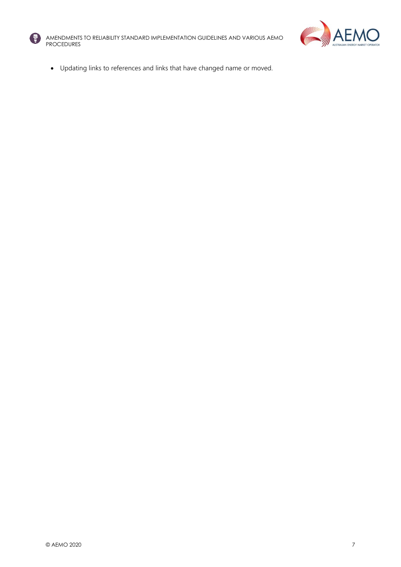



• Updating links to references and links that have changed name or moved.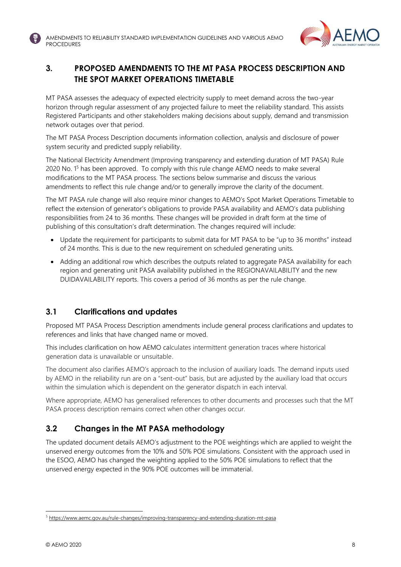

# <span id="page-7-0"></span>**3. PROPOSED AMENDMENTS TO THE MT PASA PROCESS DESCRIPTION AND THE SPOT MARKET OPERATIONS TIMETABLE**

MT PASA assesses the adequacy of expected electricity supply to meet demand across the two-year horizon through regular assessment of any projected failure to meet the reliability standard. This assists Registered Participants and other stakeholders making decisions about supply, demand and transmission network outages over that period.

The MT PASA Process Description documents information collection, analysis and disclosure of power system security and predicted supply reliability.

The National Electricity Amendment (Improving transparency and extending duration of MT PASA) Rule 2020 No. 1<sup>5</sup> has been approved. To comply with this rule change AEMO needs to make several modifications to the MT PASA process. The sections below summarise and discuss the various amendments to reflect this rule change and/or to generally improve the clarity of the document.

The MT PASA rule change will also require minor changes to AEMO's Spot Market Operations Timetable to reflect the extension of generator's obligations to provide PASA availability and AEMO's data publishing responsibilities from 24 to 36 months. These changes will be provided in draft form at the time of publishing of this consultation's draft determination. The changes required will include:

- Update the requirement for participants to submit data for MT PASA to be "up to 36 months" instead of 24 months. This is due to the new requirement on scheduled generating units.
- Adding an additional row which describes the outputs related to aggregate PASA availability for each region and generating unit PASA availability published in the REGIONAVAILABILITY and the new DUIDAVAILABILITY reports. This covers a period of 36 months as per the rule change.

## <span id="page-7-1"></span>**3.1 Clarifications and updates**

Proposed MT PASA Process Description amendments include general process clarifications and updates to references and links that have changed name or moved.

This includes clarification on how AEMO calculates intermittent generation traces where historical generation data is unavailable or unsuitable.

The document also clarifies AEMO's approach to the inclusion of auxiliary loads. The demand inputs used by AEMO in the reliability run are on a "sent-out" basis, but are adjusted by the auxiliary load that occurs within the simulation which is dependent on the generator dispatch in each interval.

Where appropriate, AEMO has generalised references to other documents and processes such that the MT PASA process description remains correct when other changes occur.

# <span id="page-7-2"></span>**3.2 Changes in the MT PASA methodology**

The updated document details AEMO's adjustment to the POE weightings which are applied to weight the unserved energy outcomes from the 10% and 50% POE simulations. Consistent with the approach used in the ESOO, AEMO has changed the weighting applied to the 50% POE simulations to reflect that the unserved energy expected in the 90% POE outcomes will be immaterial.

<sup>5</sup> <https://www.aemc.gov.au/rule-changes/improving-transparency-and-extending-duration-mt-pasa>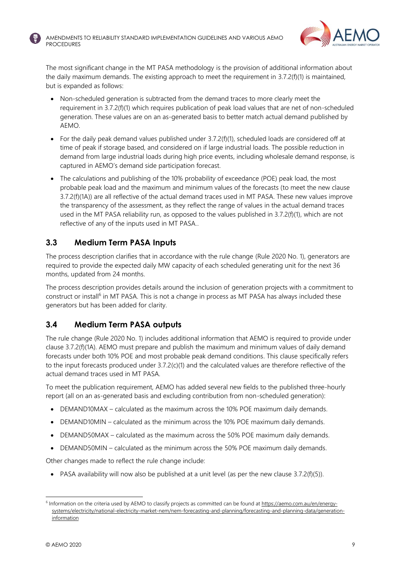



The most significant change in the MT PASA methodology is the provision of additional information about the daily maximum demands. The existing approach to meet the requirement in 3.7.2(f)(1) is maintained, but is expanded as follows:

- Non-scheduled generation is subtracted from the demand traces to more clearly meet the requirement in 3.7.2(f)(1) which requires publication of peak load values that are net of non-scheduled generation. These values are on an as-generated basis to better match actual demand published by AEMO.
- For the daily peak demand values published under 3.7.2(f)(1), scheduled loads are considered off at time of peak if storage based, and considered on if large industrial loads. The possible reduction in demand from large industrial loads during high price events, including wholesale demand response, is captured in AEMO's demand side participation forecast.
- The calculations and publishing of the 10% probability of exceedance (POE) peak load, the most probable peak load and the maximum and minimum values of the forecasts (to meet the new clause 3.7.2(f)(1A)) are all reflective of the actual demand traces used in MT PASA. These new values improve the transparency of the assessment, as they reflect the range of values in the actual demand traces used in the MT PASA reliability run, as opposed to the values published in 3.7.2(f)(1), which are not reflective of any of the inputs used in MT PASA..

#### <span id="page-8-0"></span>**3.3 Medium Term PASA Inputs**

The process description clarifies that in accordance with the rule change (Rule 2020 No. 1), generators are required to provide the expected daily MW capacity of each scheduled generating unit for the next 36 months, updated from 24 months.

The process description provides details around the inclusion of generation projects with a commitment to construct or install<sup>6</sup> in MT PASA. This is not a change in process as MT PASA has always included these generators but has been added for clarity.

## <span id="page-8-1"></span>**3.4 Medium Term PASA outputs**

The rule change (Rule 2020 No. 1) includes additional information that AEMO is required to provide under clause 3.7.2(f)(1A). AEMO must prepare and publish the maximum and minimum values of daily demand forecasts under both 10% POE and most probable peak demand conditions. This clause specifically refers to the input forecasts produced under 3.7.2(c)(1) and the calculated values are therefore reflective of the actual demand traces used in MT PASA.

To meet the publication requirement, AEMO has added several new fields to the published three-hourly report (all on an as-generated basis and excluding contribution from non-scheduled generation):

- DEMAND10MAX calculated as the maximum across the 10% POE maximum daily demands.
- DEMAND10MIN calculated as the minimum across the 10% POE maximum daily demands.
- DEMAND50MAX calculated as the maximum across the 50% POE maximum daily demands.
- DEMAND50MIN calculated as the minimum across the 50% POE maximum daily demands.

Other changes made to reflect the rule change include:

• PASA availability will now also be published at a unit level (as per the new clause  $3.7.2(f)(5)$ ).

<sup>&</sup>lt;sup>6</sup> Information on the criteria used by AEMO to classify projects as committed can be found a[t https://aemo.com.au/en/energy](https://aemo.com.au/en/energy-systems/electricity/national-electricity-market-nem/nem-forecasting-and-planning/forecasting-and-planning-data/generation-information)[systems/electricity/national-electricity-market-nem/nem-forecasting-and-planning/forecasting-and-planning-data/generation](https://aemo.com.au/en/energy-systems/electricity/national-electricity-market-nem/nem-forecasting-and-planning/forecasting-and-planning-data/generation-information)**[information](https://aemo.com.au/en/energy-systems/electricity/national-electricity-market-nem/nem-forecasting-and-planning/forecasting-and-planning-data/generation-information)**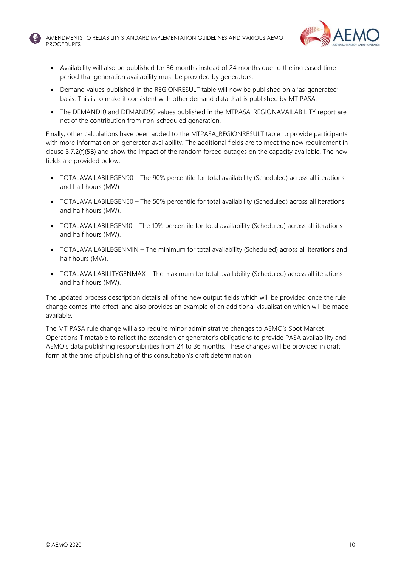



- Availability will also be published for 36 months instead of 24 months due to the increased time period that generation availability must be provided by generators.
- Demand values published in the REGIONRESULT table will now be published on a 'as-generated' basis. This is to make it consistent with other demand data that is published by MT PASA.
- The DEMAND10 and DEMAND50 values published in the MTPASA\_REGIONAVAILABILITY report are net of the contribution from non-scheduled generation.

Finally, other calculations have been added to the MTPASA\_REGIONRESULT table to provide participants with more information on generator availability. The additional fields are to meet the new requirement in clause 3.7.2(f)(5B) and show the impact of the random forced outages on the capacity available. The new fields are provided below:

- TOTALAVAILABILEGEN90 The 90% percentile for total availability (Scheduled) across all iterations and half hours (MW)
- TOTALAVAILABILEGEN50 The 50% percentile for total availability (Scheduled) across all iterations and half hours (MW).
- TOTALAVAILABILEGEN10 The 10% percentile for total availability (Scheduled) across all iterations and half hours (MW).
- TOTALAVAILABILEGENMIN The minimum for total availability (Scheduled) across all iterations and half hours (MW).
- TOTALAVAILABILITYGENMAX The maximum for total availability (Scheduled) across all iterations and half hours (MW).

The updated process description details all of the new output fields which will be provided once the rule change comes into effect, and also provides an example of an additional visualisation which will be made available.

The MT PASA rule change will also require minor administrative changes to AEMO's Spot Market Operations Timetable to reflect the extension of generator's obligations to provide PASA availability and AEMO's data publishing responsibilities from 24 to 36 months. These changes will be provided in draft form at the time of publishing of this consultation's draft determination.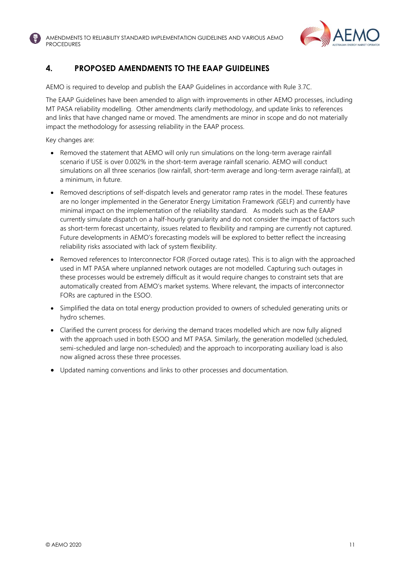

#### <span id="page-10-0"></span>**4. PROPOSED AMENDMENTS TO THE EAAP GUIDELINES**

AEMO is required to develop and publish the EAAP Guidelines in accordance with Rule 3.7C.

The EAAP Guidelines have been amended to align with improvements in other AEMO processes, including MT PASA reliability modelling. Other amendments clarify methodology, and update links to references and links that have changed name or moved. The amendments are minor in scope and do not materially impact the methodology for assessing reliability in the EAAP process.

Key changes are:

- Removed the statement that AEMO will only run simulations on the long-term average rainfall scenario if USE is over 0.002% in the short-term average rainfall scenario. AEMO will conduct simulations on all three scenarios (low rainfall, short-term average and long-term average rainfall), at a minimum, in future.
- Removed descriptions of self-dispatch levels and generator ramp rates in the model. These features are no longer implemented in the Generator Energy Limitation Framework *(*GELF) and currently have minimal impact on the implementation of the reliability standard. As models such as the EAAP currently simulate dispatch on a half-hourly granularity and do not consider the impact of factors such as short-term forecast uncertainty, issues related to flexibility and ramping are currently not captured. Future developments in AEMO's forecasting models will be explored to better reflect the increasing reliability risks associated with lack of system flexibility.
- Removed references to Interconnector FOR (Forced outage rates). This is to align with the approached used in MT PASA where unplanned network outages are not modelled. Capturing such outages in these processes would be extremely difficult as it would require changes to constraint sets that are automatically created from AEMO's market systems. Where relevant, the impacts of interconnector FORs are captured in the ESOO.
- Simplified the data on total energy production provided to owners of scheduled generating units or hydro schemes.
- Clarified the current process for deriving the demand traces modelled which are now fully aligned with the approach used in both ESOO and MT PASA. Similarly, the generation modelled (scheduled, semi-scheduled and large non-scheduled) and the approach to incorporating auxiliary load is also now aligned across these three processes.
- Updated naming conventions and links to other processes and documentation.